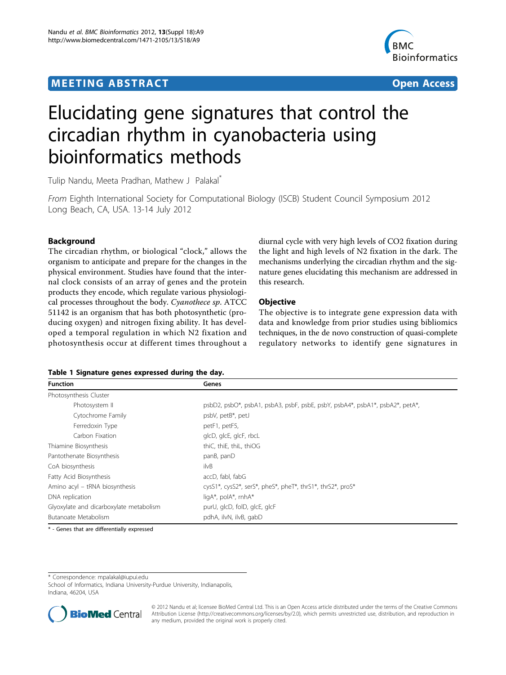## <span id="page-0-0"></span>**MEETING ABSTRACT CONSUMING ABSTRACT**



# Elucidating gene signatures that control the circadian rhythm in cyanobacteria using bioinformatics methods

Tulip Nandu, Meeta Pradhan, Mathew J Palakal\*

From Eighth International Society for Computational Biology (ISCB) Student Council Symposium 2012 Long Beach, CA, USA. 13-14 July 2012

### Background

The circadian rhythm, or biological "clock," allows the organism to anticipate and prepare for the changes in the physical environment. Studies have found that the internal clock consists of an array of genes and the protein products they encode, which regulate various physiological processes throughout the body. Cyanothece sp. ATCC 51142 is an organism that has both photosynthetic (producing oxygen) and nitrogen fixing ability. It has developed a temporal regulation in which N2 fixation and photosynthesis occur at different times throughout a

diurnal cycle with very high levels of CO2 fixation during the light and high levels of N2 fixation in the dark. The mechanisms underlying the circadian rhythm and the signature genes elucidating this mechanism are addressed in this research.

#### **Objective**

The objective is to integrate gene expression data with data and knowledge from prior studies using bibliomics techniques, in the de novo construction of quasi-complete regulatory networks to identify gene signatures in

#### Table 1 Signature genes expressed during the day.

| <b>Function</b>                         | Genes                                                                        |
|-----------------------------------------|------------------------------------------------------------------------------|
| Photosynthesis Cluster                  |                                                                              |
| Photosystem II                          | psbD2, psbO*, psbA1, psbA3, psbF, psbE, psbY, psbA4*, psbA1*, psbA2*, petA*, |
| Cytochrome Family                       | psbV, petB*, petJ                                                            |
| Ferredoxin Type                         | petF1, petF5,                                                                |
| Carbon Fixation                         | glcD, glcE, glcF, rbcL                                                       |
| Thiamine Biosynthesis                   | thiC, thiE, thiL, thiOG                                                      |
| Pantothenate Biosynthesis               | panB, panD                                                                   |
| CoA biosynthesis                        | ilvB                                                                         |
| Fatty Acid Biosynthesis                 | accD, fabl, fabG                                                             |
| Amino acyl - tRNA biosynthesis          | cysS1*, cysS2*, serS*, pheS*, pheT*, thrS1*, thrS2*, proS*                   |
| DNA replication                         | ligA*, polA*, rnhA*                                                          |
| Glyoxylate and dicarboxylate metabolism | purU, glcD, folD, glcE, glcF                                                 |
| Butanoate Metabolism                    | pdhA, ilvN, ilvB, gabD                                                       |

\* - Genes that are differentially expressed

\* Correspondence: [mpalakal@iupui.edu](mailto:mpalakal@iupui.edu)

School of Informatics, Indiana University-Purdue University, Indianapolis, Indiana, 46204, USA



© 2012 Nandu et al; licensee BioMed Central Ltd. This is an Open Access article distributed under the terms of the Creative Commons Attribution License [\(http://creativecommons.org/licenses/by/2.0](http://creativecommons.org/licenses/by/2.0)), which permits unrestricted use, distribution, and reproduction in any medium, provided the original work is properly cited.